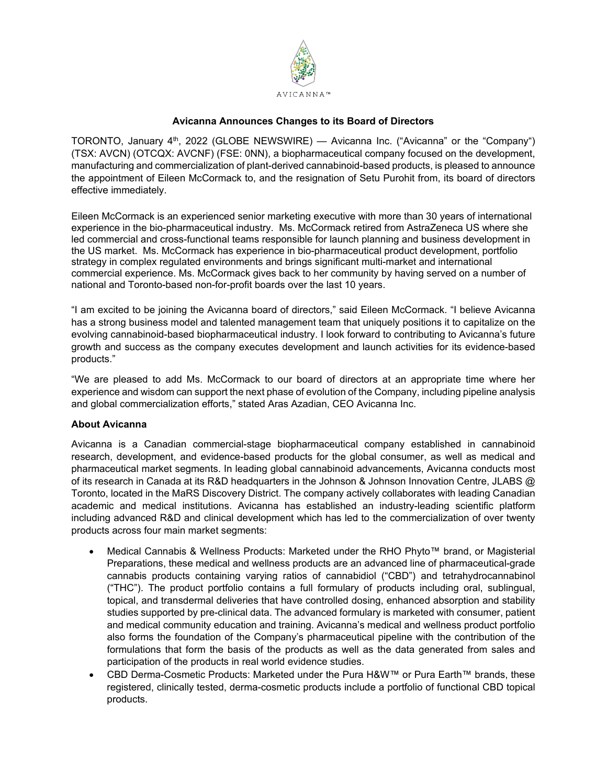

## **Avicanna Announces Changes to its Board of Directors**

TORONTO, January 4<sup>th</sup>, 2022 (GLOBE NEWSWIRE) — Avicanna Inc. ("Avicanna" or the "Company") (TSX: AVCN) (OTCQX: AVCNF) (FSE: 0NN), a biopharmaceutical company focused on the development, manufacturing and commercialization of plant-derived cannabinoid-based products, is pleased to announce the appointment of Eileen McCormack to, and the resignation of Setu Purohit from, its board of directors effective immediately.

Eileen McCormack is an experienced senior marketing executive with more than 30 years of international experience in the bio-pharmaceutical industry. Ms. McCormack retired from AstraZeneca US where she led commercial and cross-functional teams responsible for launch planning and business development in the US market. Ms. McCormack has experience in bio-pharmaceutical product development, portfolio strategy in complex regulated environments and brings significant multi-market and international commercial experience. Ms. McCormack gives back to her community by having served on a number of national and Toronto-based non-for-profit boards over the last 10 years.

"I am excited to be joining the Avicanna board of directors," said Eileen McCormack. "I believe Avicanna has a strong business model and talented management team that uniquely positions it to capitalize on the evolving cannabinoid-based biopharmaceutical industry. I look forward to contributing to Avicanna's future growth and success as the company executes development and launch activities for its evidence-based products."

"We are pleased to add Ms. McCormack to our board of directors at an appropriate time where her experience and wisdom can support the next phase of evolution of the Company, including pipeline analysis and global commercialization efforts," stated Aras Azadian, CEO Avicanna Inc.

## **About Avicanna**

Avicanna is a Canadian commercial-stage biopharmaceutical company established in cannabinoid research, development, and evidence-based products for the global consumer, as well as medical and pharmaceutical market segments. In leading global cannabinoid advancements, Avicanna conducts most of its research in Canada at its R&D headquarters in the Johnson & Johnson Innovation Centre, JLABS @ Toronto, located in the MaRS Discovery District. The company actively collaborates with leading Canadian academic and medical institutions. Avicanna has established an industry-leading scientific platform including advanced R&D and clinical development which has led to the commercialization of over twenty products across four main market segments:

- Medical Cannabis & Wellness Products: Marketed under the RHO Phyto™ brand, or Magisterial Preparations, these medical and wellness products are an advanced line of pharmaceutical-grade cannabis products containing varying ratios of cannabidiol ("CBD") and tetrahydrocannabinol ("THC"). The product portfolio contains a full formulary of products including oral, sublingual, topical, and transdermal deliveries that have controlled dosing, enhanced absorption and stability studies supported by pre-clinical data. The advanced formulary is marketed with consumer, patient and medical community education and training. Avicanna's medical and wellness product portfolio also forms the foundation of the Company's pharmaceutical pipeline with the contribution of the formulations that form the basis of the products as well as the data generated from sales and participation of the products in real world evidence studies.
- CBD Derma-Cosmetic Products: Marketed under the Pura H&W™ or Pura Earth™ brands, these registered, clinically tested, derma-cosmetic products include a portfolio of functional CBD topical products.